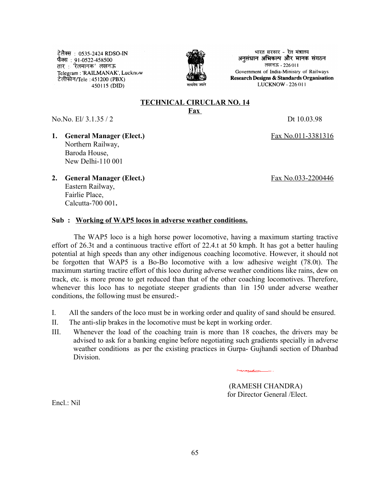टेलैक्स : 0535-2424 RDSO-IN फैक्स : 91-0522-458500 तार : 'रेलमानक' लखनऊ Telegram : 'RAILMANAK', Lucknow टेलीफोन/Tele : 451200 (PBX) 450115 (DID)



भारत सरकार - रेल मंत्रालय अनसंधान अभिकल्प और मानक संगठन लखनऊ - 226011 Government of India-Ministry of Railways **Research Designs & Standards Organisation** LUCKNOW - 226 011

## **TECHNICAL CIRUCLAR NO. 14 Fax**

No.No. El/ 3.1.35 / 2 Dt 10.03.98

- **1. General Manager (Elect.)** Fax No.011-3381316 Northern Railway, Baroda House, New Delhi-110 001
- **2. General Manager (Elect.)** Fax No.033-2200446 Eastern Railway, Fairlie Place, Calcutta-700 001**.**

## **Sub : Working of WAP5 locos in adverse weather conditions.**

The WAP5 loco is a high horse power locomotive, having a maximum starting tractive effort of 26.3t and a continuous tractive effort of 22.4.t at 50 kmph. It has got a better hauling potential at high speeds than any other indigenous coaching locomotive. However, it should not be forgotten that WAP5 is a Bo-Bo locomotive with a low adhesive weight (78.0t). The maximum starting tractire effort of this loco during adverse weather conditions like rains, dew on track, etc. is more prone to get reduced than that of the other coaching locomotives. Therefore, whenever this loco has to negotiate steeper gradients than 1in 150 under adverse weather conditions, the following must be ensured:-

- I. All the sanders of the loco must be in working order and quality of sand should be ensured.
- II. The anti-slip brakes in the locomotive must be kept in working order.
- III. Whenever the load of the coaching train is more than 18 coaches, the drivers may be advised to ask for a banking engine before negotiating such gradients specially in adverse weather conditions as per the existing practices in Gurpa- Gujhandi section of Dhanbad **Division**

 (RAMESH CHANDRA) for Director General /Elect.

 $Encl \cdot Nil$